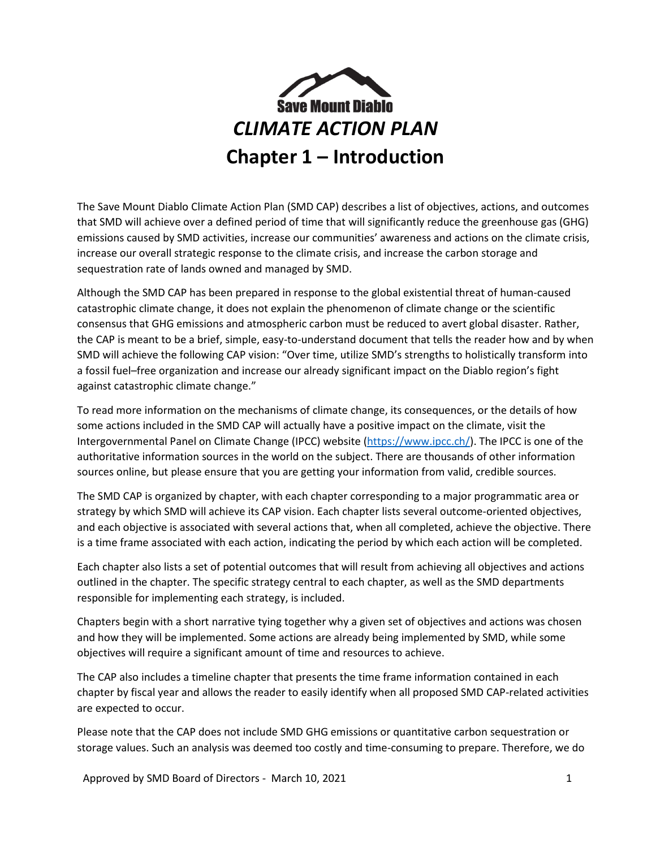

The Save Mount Diablo Climate Action Plan (SMD CAP) describes a list of objectives, actions, and outcomes that SMD will achieve over a defined period of time that will significantly reduce the greenhouse gas (GHG) emissions caused by SMD activities, increase our communities' awareness and actions on the climate crisis, increase our overall strategic response to the climate crisis, and increase the carbon storage and sequestration rate of lands owned and managed by SMD.

Although the SMD CAP has been prepared in response to the global existential threat of human-caused catastrophic climate change, it does not explain the phenomenon of climate change or the scientific consensus that GHG emissions and atmospheric carbon must be reduced to avert global disaster. Rather, the CAP is meant to be a brief, simple, easy-to-understand document that tells the reader how and by when SMD will achieve the following CAP vision: "Over time, utilize SMD's strengths to holistically transform into a fossil fuel–free organization and increase our already significant impact on the Diablo region's fight against catastrophic climate change."

To read more information on the mechanisms of climate change, its consequences, or the details of how some actions included in the SMD CAP will actually have a positive impact on the climate, visit the Intergovernmental Panel on Climate Change (IPCC) website [\(https://www.ipcc.ch/\)](https://www.ipcc.ch/). The IPCC is one of the authoritative information sources in the world on the subject. There are thousands of other information sources online, but please ensure that you are getting your information from valid, credible sources.

The SMD CAP is organized by chapter, with each chapter corresponding to a major programmatic area or strategy by which SMD will achieve its CAP vision. Each chapter lists several outcome-oriented objectives, and each objective is associated with several actions that, when all completed, achieve the objective. There is a time frame associated with each action, indicating the period by which each action will be completed.

Each chapter also lists a set of potential outcomes that will result from achieving all objectives and actions outlined in the chapter. The specific strategy central to each chapter, as well as the SMD departments responsible for implementing each strategy, is included.

Chapters begin with a short narrative tying together why a given set of objectives and actions was chosen and how they will be implemented. Some actions are already being implemented by SMD, while some objectives will require a significant amount of time and resources to achieve.

The CAP also includes a timeline chapter that presents the time frame information contained in each chapter by fiscal year and allows the reader to easily identify when all proposed SMD CAP-related activities are expected to occur.

Please note that the CAP does not include SMD GHG emissions or quantitative carbon sequestration or storage values. Such an analysis was deemed too costly and time-consuming to prepare. Therefore, we do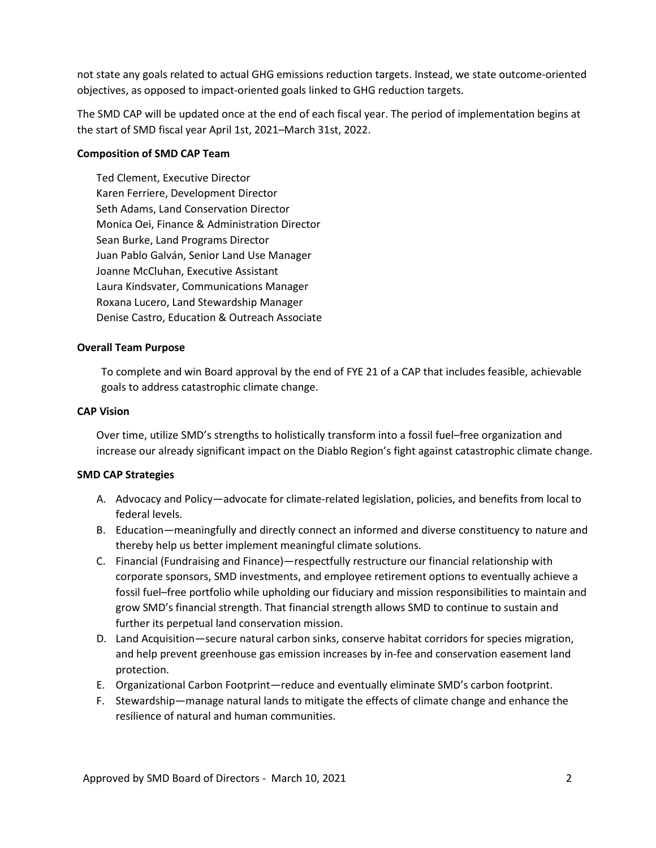not state any goals related to actual GHG emissions reduction targets. Instead, we state outcome-oriented objectives, as opposed to impact-oriented goals linked to GHG reduction targets.

The SMD CAP will be updated once at the end of each fiscal year. The period of implementation begins at the start of SMD fiscal year April 1st, 2021–March 31st, 2022.

### **Composition of SMD CAP Team**

Ted Clement, Executive Director Karen Ferriere, Development Director Seth Adams, Land Conservation Director Monica Oei, Finance & Administration Director Sean Burke, Land Programs Director Juan Pablo Galván, Senior Land Use Manager Joanne McCluhan, Executive Assistant Laura Kindsvater, Communications Manager Roxana Lucero, Land Stewardship Manager Denise Castro, Education & Outreach Associate

### **Overall Team Purpose**

To complete and win Board approval by the end of FYE 21 of a CAP that includes feasible, achievable goals to address catastrophic climate change.

#### **CAP Vision**

Over time, utilize SMD's strengths to holistically transform into a fossil fuel–free organization and increase our already significant impact on the Diablo Region's fight against catastrophic climate change.

### **SMD CAP Strategies**

- A. Advocacy and Policy—advocate for climate-related legislation, policies, and benefits from local to federal levels.
- B. Education—meaningfully and directly connect an informed and diverse constituency to nature and thereby help us better implement meaningful climate solutions.
- C. Financial (Fundraising and Finance)—respectfully restructure our financial relationship with corporate sponsors, SMD investments, and employee retirement options to eventually achieve a fossil fuel–free portfolio while upholding our fiduciary and mission responsibilities to maintain and grow SMD's financial strength. That financial strength allows SMD to continue to sustain and further its perpetual land conservation mission.
- D. Land Acquisition—secure natural carbon sinks, conserve habitat corridors for species migration, and help prevent greenhouse gas emission increases by in-fee and conservation easement land protection.
- E. Organizational Carbon Footprint—reduce and eventually eliminate SMD's carbon footprint.
- F. Stewardship—manage natural lands to mitigate the effects of climate change and enhance the resilience of natural and human communities.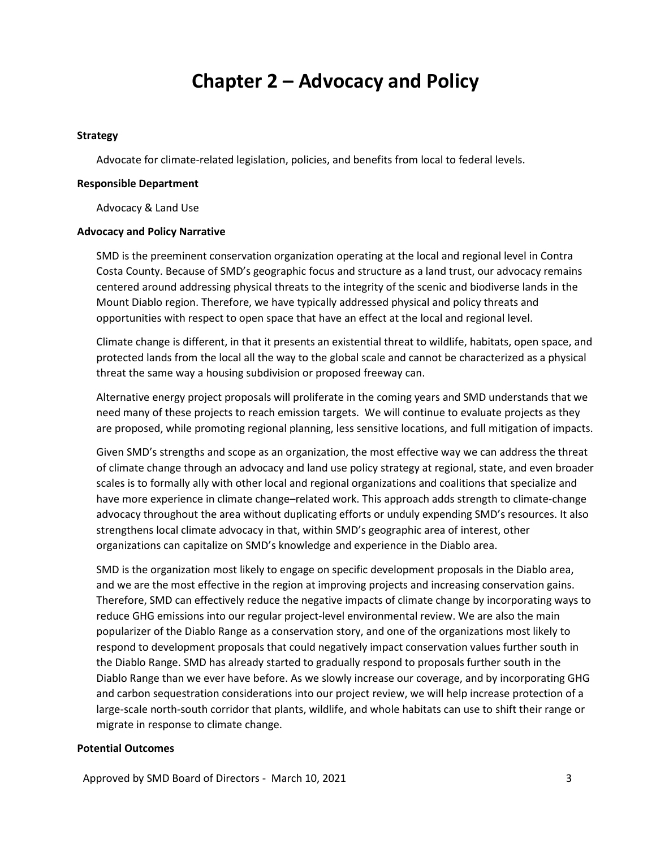## **Chapter 2 – Advocacy and Policy**

#### **Strategy**

Advocate for climate-related legislation, policies, and benefits from local to federal levels.

#### **Responsible Department**

Advocacy & Land Use

#### **Advocacy and Policy Narrative**

SMD is the preeminent conservation organization operating at the local and regional level in Contra Costa County. Because of SMD's geographic focus and structure as a land trust, our advocacy remains centered around addressing physical threats to the integrity of the scenic and biodiverse lands in the Mount Diablo region. Therefore, we have typically addressed physical and policy threats and opportunities with respect to open space that have an effect at the local and regional level.

Climate change is different, in that it presents an existential threat to wildlife, habitats, open space, and protected lands from the local all the way to the global scale and cannot be characterized as a physical threat the same way a housing subdivision or proposed freeway can.

Alternative energy project proposals will proliferate in the coming years and SMD understands that we need many of these projects to reach emission targets. We will continue to evaluate projects as they are proposed, while promoting regional planning, less sensitive locations, and full mitigation of impacts.

Given SMD's strengths and scope as an organization, the most effective way we can address the threat of climate change through an advocacy and land use policy strategy at regional, state, and even broader scales is to formally ally with other local and regional organizations and coalitions that specialize and have more experience in climate change–related work. This approach adds strength to climate-change advocacy throughout the area without duplicating efforts or unduly expending SMD's resources. It also strengthens local climate advocacy in that, within SMD's geographic area of interest, other organizations can capitalize on SMD's knowledge and experience in the Diablo area.

SMD is the organization most likely to engage on specific development proposals in the Diablo area, and we are the most effective in the region at improving projects and increasing conservation gains. Therefore, SMD can effectively reduce the negative impacts of climate change by incorporating ways to reduce GHG emissions into our regular project-level environmental review. We are also the main popularizer of the Diablo Range as a conservation story, and one of the organizations most likely to respond to development proposals that could negatively impact conservation values further south in the Diablo Range. SMD has already started to gradually respond to proposals further south in the Diablo Range than we ever have before. As we slowly increase our coverage, and by incorporating GHG and carbon sequestration considerations into our project review, we will help increase protection of a large-scale north-south corridor that plants, wildlife, and whole habitats can use to shift their range or migrate in response to climate change.

#### **Potential Outcomes**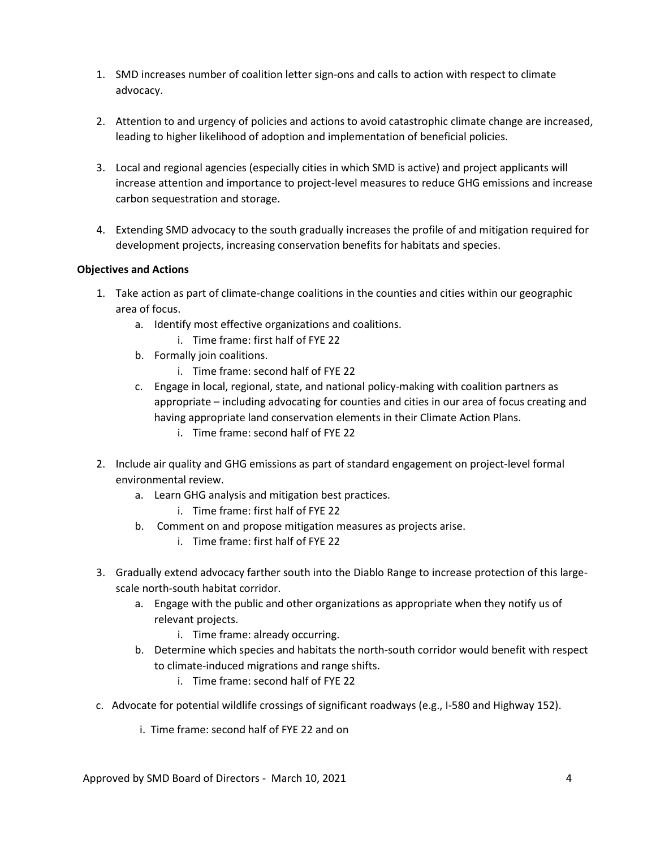- 1. SMD increases number of coalition letter sign-ons and calls to action with respect to climate advocacy.
- 2. Attention to and urgency of policies and actions to avoid catastrophic climate change are increased, leading to higher likelihood of adoption and implementation of beneficial policies.
- 3. Local and regional agencies (especially cities in which SMD is active) and project applicants will increase attention and importance to project-level measures to reduce GHG emissions and increase carbon sequestration and storage.
- 4. Extending SMD advocacy to the south gradually increases the profile of and mitigation required for development projects, increasing conservation benefits for habitats and species.

- 1. Take action as part of climate-change coalitions in the counties and cities within our geographic area of focus.
	- a. Identify most effective organizations and coalitions.
		- i. Time frame: first half of FYE 22
	- b. Formally join coalitions.
		- i. Time frame: second half of FYE 22
	- c. Engage in local, regional, state, and national policy-making with coalition partners as appropriate – including advocating for counties and cities in our area of focus creating and having appropriate land conservation elements in their Climate Action Plans.
		- i. Time frame: second half of FYE 22
- 2. Include air quality and GHG emissions as part of standard engagement on project-level formal environmental review.
	- a. Learn GHG analysis and mitigation best practices.
		- i. Time frame: first half of FYE 22
	- b. Comment on and propose mitigation measures as projects arise.
		- i. Time frame: first half of FYE 22
- 3. Gradually extend advocacy farther south into the Diablo Range to increase protection of this largescale north-south habitat corridor.
	- a. Engage with the public and other organizations as appropriate when they notify us of relevant projects.
		- i. Time frame: already occurring.
	- b. Determine which species and habitats the north-south corridor would benefit with respect to climate-induced migrations and range shifts.
		- i. Time frame: second half of FYE 22
- c. Advocate for potential wildlife crossings of significant roadways (e.g., I-580 and Highway 152).
	- i. Time frame: second half of FYE 22 and on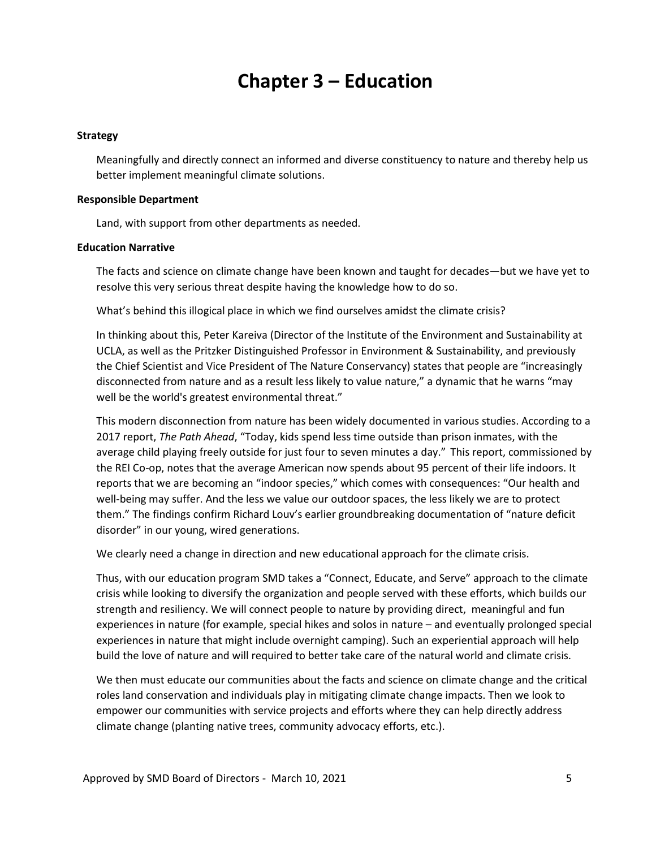## **Chapter 3 – Education**

#### **Strategy**

Meaningfully and directly connect an informed and diverse constituency to nature and thereby help us better implement meaningful climate solutions.

#### **Responsible Department**

Land, with support from other departments as needed.

#### **Education Narrative**

The facts and science on climate change have been known and taught for decades—but we have yet to resolve this very serious threat despite having the knowledge how to do so.

What's behind this illogical place in which we find ourselves amidst the climate crisis?

In thinking about this, Peter Kareiva (Director of the Institute of the Environment and Sustainability at UCLA, as well as the Pritzker Distinguished Professor in Environment & Sustainability, and previously the Chief Scientist and Vice President of The Nature Conservancy) states that people are "increasingly disconnected from nature and as a result less likely to value nature," a dynamic that he warns "may well be the world's greatest environmental threat."

This modern disconnection from nature has been widely documented in various studies. According to a 2017 report, *The Path Ahead*, "Today, kids spend less time outside than prison inmates, with the average child playing freely outside for just four to seven minutes a day." This report, commissioned by the REI Co-op, notes that the average American now spends about 95 percent of their life indoors. It reports that we are becoming an "indoor species," which comes with consequences: "Our health and well-being may suffer. And the less we value our outdoor spaces, the less likely we are to protect them." The findings confirm Richard Louv's earlier groundbreaking documentation of "nature deficit disorder" in our young, wired generations.

We clearly need a change in direction and new educational approach for the climate crisis.

Thus, with our education program SMD takes a "Connect, Educate, and Serve" approach to the climate crisis while looking to diversify the organization and people served with these efforts, which builds our strength and resiliency. We will connect people to nature by providing direct, meaningful and fun experiences in nature (for example, special hikes and solos in nature – and eventually prolonged special experiences in nature that might include overnight camping). Such an experiential approach will help build the love of nature and will required to better take care of the natural world and climate crisis.

We then must educate our communities about the facts and science on climate change and the critical roles land conservation and individuals play in mitigating climate change impacts. Then we look to empower our communities with service projects and efforts where they can help directly address climate change (planting native trees, community advocacy efforts, etc.).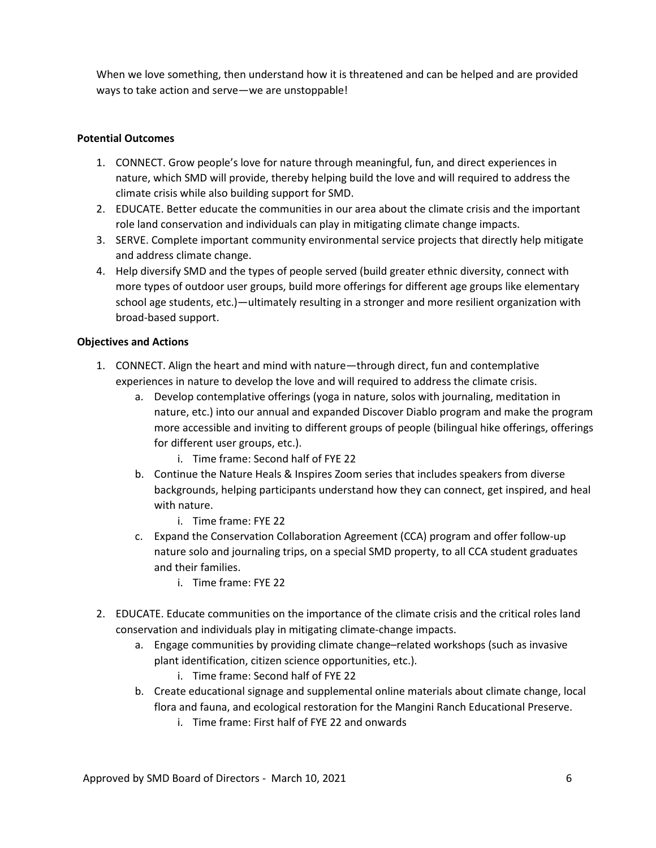When we love something, then understand how it is threatened and can be helped and are provided ways to take action and serve—we are unstoppable!

## **Potential Outcomes**

- 1. CONNECT. Grow people's love for nature through meaningful, fun, and direct experiences in nature, which SMD will provide, thereby helping build the love and will required to address the climate crisis while also building support for SMD.
- 2. EDUCATE. Better educate the communities in our area about the climate crisis and the important role land conservation and individuals can play in mitigating climate change impacts.
- 3. SERVE. Complete important community environmental service projects that directly help mitigate and address climate change.
- 4. Help diversify SMD and the types of people served (build greater ethnic diversity, connect with more types of outdoor user groups, build more offerings for different age groups like elementary school age students, etc.)—ultimately resulting in a stronger and more resilient organization with broad-based support.

- 1. CONNECT. Align the heart and mind with nature—through direct, fun and contemplative experiences in nature to develop the love and will required to address the climate crisis.
	- a. Develop contemplative offerings (yoga in nature, solos with journaling, meditation in nature, etc.) into our annual and expanded Discover Diablo program and make the program more accessible and inviting to different groups of people (bilingual hike offerings, offerings for different user groups, etc.).
		- i. Time frame: Second half of FYE 22
	- b. Continue the Nature Heals & Inspires Zoom series that includes speakers from diverse backgrounds, helping participants understand how they can connect, get inspired, and heal with nature.
		- i. Time frame: FYE 22
	- c. Expand the Conservation Collaboration Agreement (CCA) program and offer follow-up nature solo and journaling trips, on a special SMD property, to all CCA student graduates and their families.
		- i. Time frame: FYE 22
- 2. EDUCATE. Educate communities on the importance of the climate crisis and the critical roles land conservation and individuals play in mitigating climate-change impacts.
	- a. Engage communities by providing climate change–related workshops (such as invasive plant identification, citizen science opportunities, etc.).
		- i. Time frame: Second half of FYE 22
	- b. Create educational signage and supplemental online materials about climate change, local flora and fauna, and ecological restoration for the Mangini Ranch Educational Preserve.
		- i. Time frame: First half of FYE 22 and onwards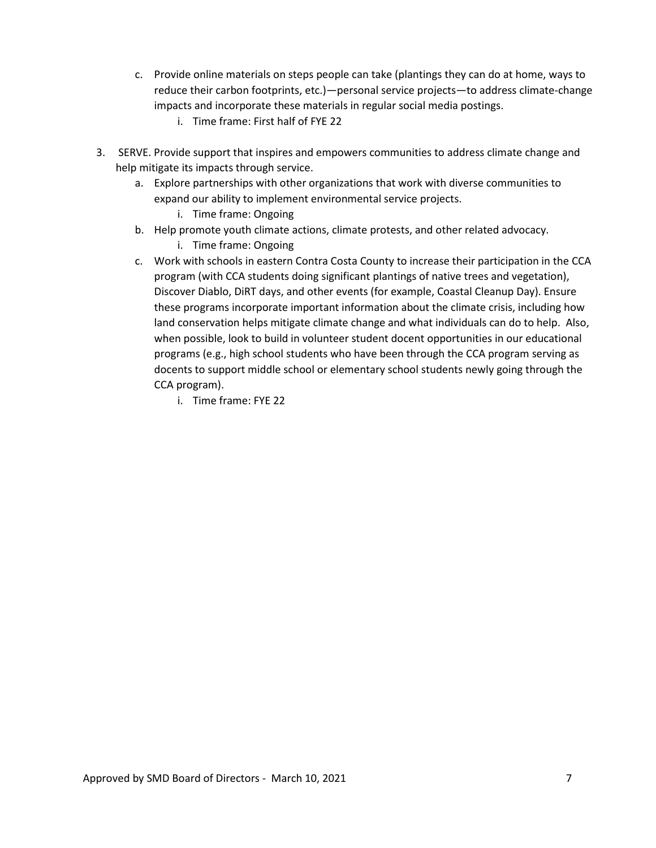- c. Provide online materials on steps people can take (plantings they can do at home, ways to reduce their carbon footprints, etc.)—personal service projects—to address climate-change impacts and incorporate these materials in regular social media postings.
	- i. Time frame: First half of FYE 22
- 3. SERVE. Provide support that inspires and empowers communities to address climate change and help mitigate its impacts through service.
	- a. Explore partnerships with other organizations that work with diverse communities to expand our ability to implement environmental service projects.
		- i. Time frame: Ongoing
	- b. Help promote youth climate actions, climate protests, and other related advocacy.
		- i. Time frame: Ongoing
	- c. Work with schools in eastern Contra Costa County to increase their participation in the CCA program (with CCA students doing significant plantings of native trees and vegetation), Discover Diablo, DiRT days, and other events (for example, Coastal Cleanup Day). Ensure these programs incorporate important information about the climate crisis, including how land conservation helps mitigate climate change and what individuals can do to help. Also, when possible, look to build in volunteer student docent opportunities in our educational programs (e.g., high school students who have been through the CCA program serving as docents to support middle school or elementary school students newly going through the CCA program).
		- i. Time frame: FYE 22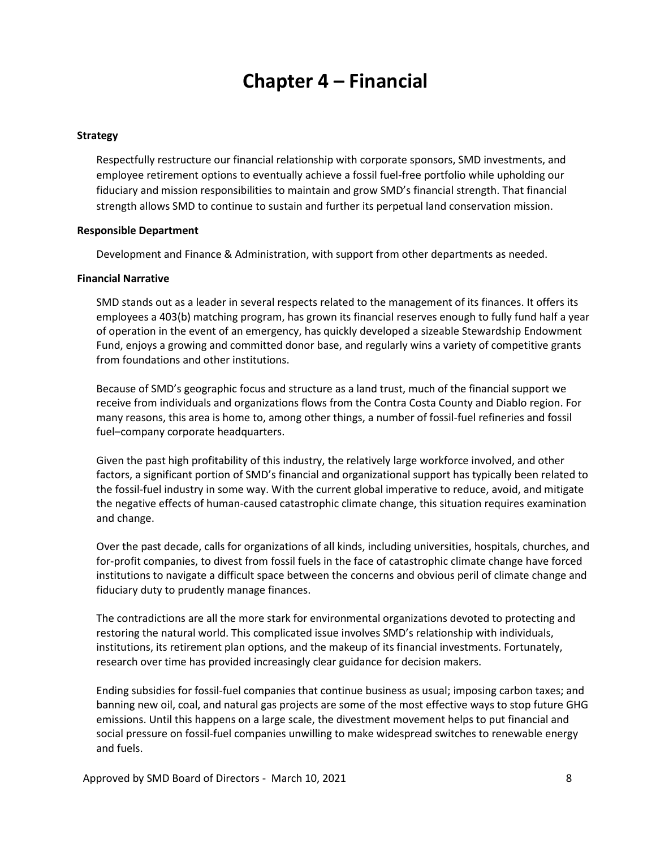# **Chapter 4 – Financial**

#### **Strategy**

Respectfully restructure our financial relationship with corporate sponsors, SMD investments, and employee retirement options to eventually achieve a fossil fuel-free portfolio while upholding our fiduciary and mission responsibilities to maintain and grow SMD's financial strength. That financial strength allows SMD to continue to sustain and further its perpetual land conservation mission.

#### **Responsible Department**

Development and Finance & Administration, with support from other departments as needed.

#### **Financial Narrative**

SMD stands out as a leader in several respects related to the management of its finances. It offers its employees a 403(b) matching program, has grown its financial reserves enough to fully fund half a year of operation in the event of an emergency, has quickly developed a sizeable Stewardship Endowment Fund, enjoys a growing and committed donor base, and regularly wins a variety of competitive grants from foundations and other institutions.

Because of SMD's geographic focus and structure as a land trust, much of the financial support we receive from individuals and organizations flows from the Contra Costa County and Diablo region. For many reasons, this area is home to, among other things, a number of fossil-fuel refineries and fossil fuel–company corporate headquarters.

Given the past high profitability of this industry, the relatively large workforce involved, and other factors, a significant portion of SMD's financial and organizational support has typically been related to the fossil-fuel industry in some way. With the current global imperative to reduce, avoid, and mitigate the negative effects of human-caused catastrophic climate change, this situation requires examination and change.

Over the past decade, calls for organizations of all kinds, including universities, hospitals, churches, and for-profit companies, to divest from fossil fuels in the face of catastrophic climate change have forced institutions to navigate a difficult space between the concerns and obvious peril of climate change and fiduciary duty to prudently manage finances.

The contradictions are all the more stark for environmental organizations devoted to protecting and restoring the natural world. This complicated issue involves SMD's relationship with individuals, institutions, its retirement plan options, and the makeup of its financial investments. Fortunately, research over time has provided increasingly clear guidance for decision makers.

Ending subsidies for fossil-fuel companies that continue business as usual; imposing carbon taxes; and banning new oil, coal, and natural gas projects are some of the most effective ways to stop future GHG emissions. Until this happens on a large scale, the divestment movement helps to put financial and social pressure on fossil-fuel companies unwilling to make widespread switches to renewable energy and fuels.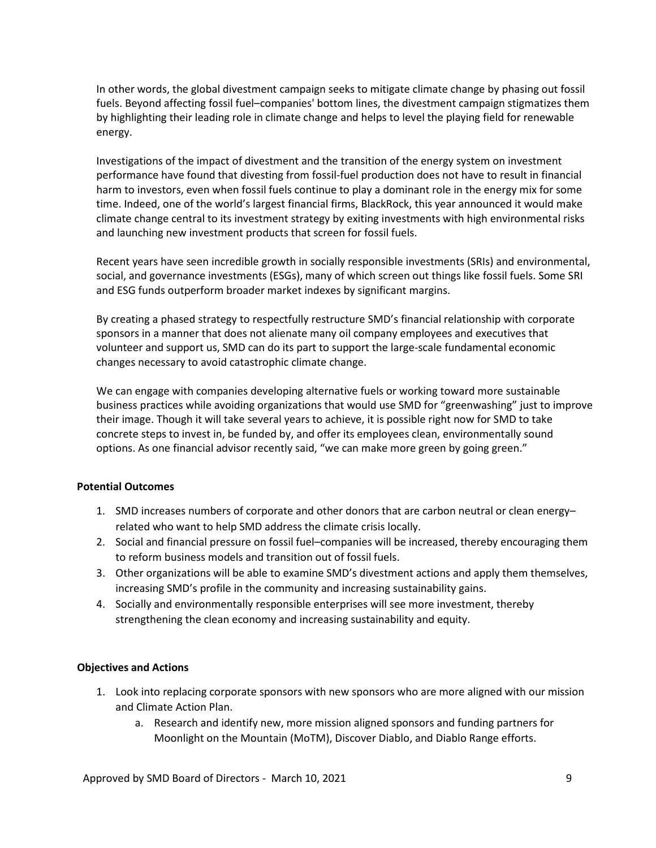In other words, the global divestment campaign seeks to mitigate climate change by phasing out fossil fuels. Beyond affecting fossil fuel–companies' bottom lines, the divestment campaign stigmatizes them by highlighting their leading role in climate change and helps to level the playing field for renewable energy.

Investigations of the impact of divestment and the transition of the energy system on investment performance have found that divesting from fossil-fuel production does not have to result in financial harm to investors, even when fossil fuels continue to play a dominant role in the energy mix for some time. Indeed, one of the world's largest financial firms, BlackRock, this year announced it would make climate change central to its investment strategy by exiting investments with high environmental risks and launching new investment products that screen for fossil fuels.

Recent years have seen incredible growth in socially responsible investments (SRIs) and environmental, social, and governance investments (ESGs), many of which screen out things like fossil fuels. Some SRI and ESG funds outperform broader market indexes by significant margins.

By creating a phased strategy to respectfully restructure SMD's financial relationship with corporate sponsors in a manner that does not alienate many oil company employees and executives that volunteer and support us, SMD can do its part to support the large-scale fundamental economic changes necessary to avoid catastrophic climate change.

We can engage with companies developing alternative fuels or working toward more sustainable business practices while avoiding organizations that would use SMD for "greenwashing" just to improve their image. Though it will take several years to achieve, it is possible right now for SMD to take concrete steps to invest in, be funded by, and offer its employees clean, environmentally sound options. As one financial advisor recently said, "we can make more green by going green."

### **Potential Outcomes**

- 1. SMD increases numbers of corporate and other donors that are carbon neutral or clean energy– related who want to help SMD address the climate crisis locally.
- 2. Social and financial pressure on fossil fuel–companies will be increased, thereby encouraging them to reform business models and transition out of fossil fuels.
- 3. Other organizations will be able to examine SMD's divestment actions and apply them themselves, increasing SMD's profile in the community and increasing sustainability gains.
- 4. Socially and environmentally responsible enterprises will see more investment, thereby strengthening the clean economy and increasing sustainability and equity.

#### **Objectives and Actions**

- 1. Look into replacing corporate sponsors with new sponsors who are more aligned with our mission and Climate Action Plan.
	- a. Research and identify new, more mission aligned sponsors and funding partners for Moonlight on the Mountain (MoTM), Discover Diablo, and Diablo Range efforts.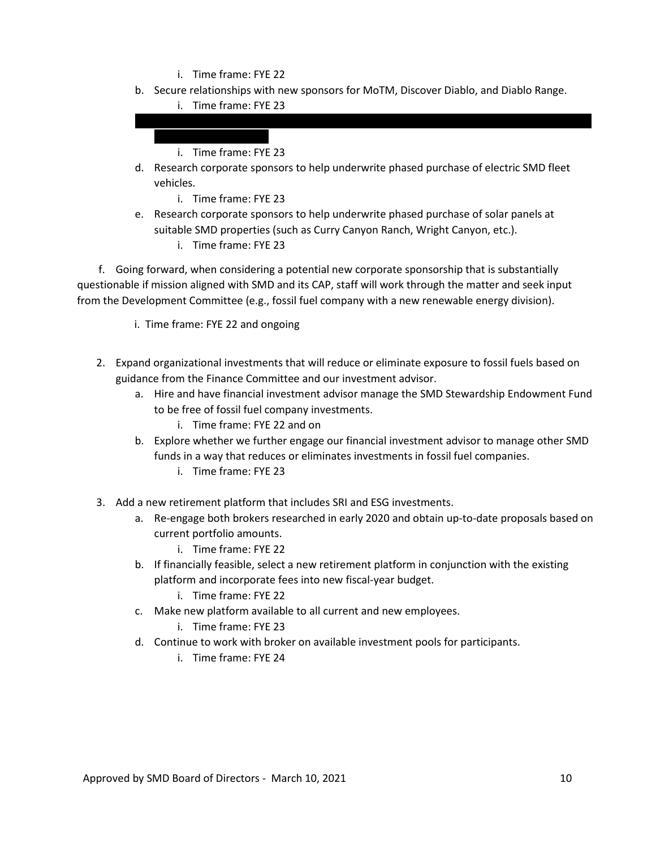- i. Time frame: FYE 22
- b. Secure relationships with new sponsors for MoTM, Discover Diablo, and Diablo Range.
	- i. Time frame: FYE 23

i. Time frame: FYE 23

- d. Research corporate sponsors to help underwrite phased purchase of electric SMD fleet vehicles.
	- i. Time frame: FYE 23
- e. Research corporate sponsors to help underwrite phased purchase of solar panels at suitable SMD properties (such as Curry Canyon Ranch, Wright Canyon, etc.).
	- i. Time frame: FYE 23

 f. Going forward, when considering a potential new corporate sponsorship that is substantially questionable if mission aligned with SMD and its CAP, staff will work through the matter and seek input from the Development Committee (e.g., fossil fuel company with a new renewable energy division).

- i. Time frame: FYE 22 and ongoing
- 2. Expand organizational investments that will reduce or eliminate exposure to fossil fuels based on guidance from the Finance Committee and our investment advisor.
	- a. Hire and have financial investment advisor manage the SMD Stewardship Endowment Fund to be free of fossil fuel company investments.
		- i. Time frame: FYE 22 and on
	- b. Explore whether we further engage our financial investment advisor to manage other SMD funds in a way that reduces or eliminates investments in fossil fuel companies.
		- i. Time frame: FYE 23
- 3. Add a new retirement platform that includes SRI and ESG investments.
	- a. Re-engage both brokers researched in early 2020 and obtain up-to-date proposals based on current portfolio amounts.
		- i. Time frame: FYE 22
	- b. If financially feasible, select a new retirement platform in conjunction with the existing platform and incorporate fees into new fiscal-year budget.
		- i. Time frame: FYE 22
	- c. Make new platform available to all current and new employees.
		- i. Time frame: FYE 23
	- d. Continue to work with broker on available investment pools for participants.
		- i. Time frame: FYE 24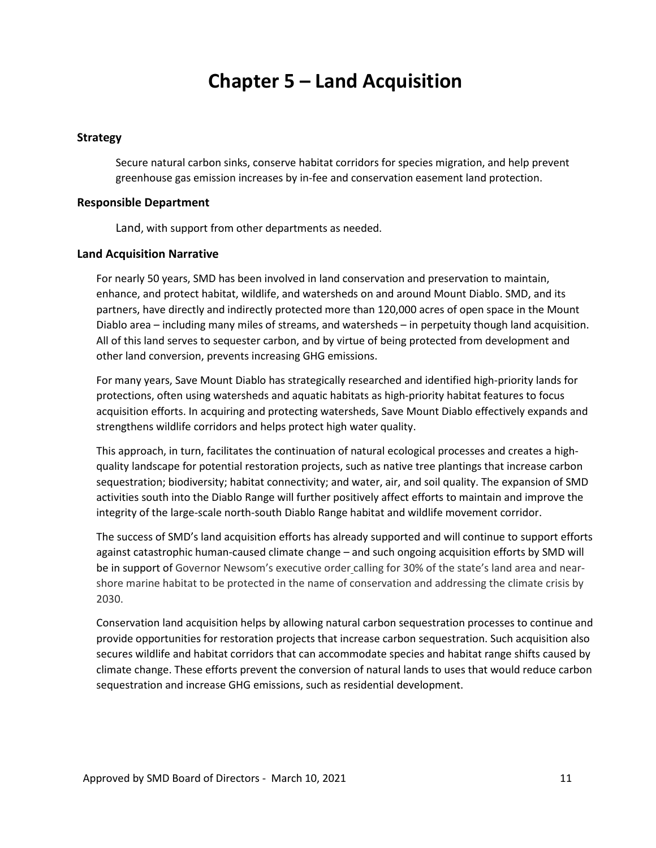## **Chapter 5 – Land Acquisition**

### **Strategy**

Secure natural carbon sinks, conserve habitat corridors for species migration, and help prevent greenhouse gas emission increases by in-fee and conservation easement land protection.

#### **Responsible Department**

Land, with support from other departments as needed.

#### **Land Acquisition Narrative**

For nearly 50 years, SMD has been involved in land conservation and preservation to maintain, enhance, and protect habitat, wildlife, and watersheds on and around Mount Diablo. SMD, and its partners, have directly and indirectly protected more than 120,000 acres of open space in the Mount Diablo area – including many miles of streams, and watersheds – in perpetuity though land acquisition. All of this land serves to sequester carbon, and by virtue of being protected from development and other land conversion, prevents increasing GHG emissions.

For many years, Save Mount Diablo has strategically researched and identified high-priority lands for protections, often using watersheds and aquatic habitats as high-priority habitat features to focus acquisition efforts. In acquiring and protecting watersheds, Save Mount Diablo effectively expands and strengthens wildlife corridors and helps protect high water quality.

This approach, in turn, facilitates the continuation of natural ecological processes and creates a highquality landscape for potential restoration projects, such as native tree plantings that increase carbon sequestration; biodiversity; habitat connectivity; and water, air, and soil quality. The expansion of SMD activities south into the Diablo Range will further positively affect efforts to maintain and improve the integrity of the large-scale north-south Diablo Range habitat and wildlife movement corridor.

The success of SMD's land acquisition efforts has already supported and will continue to support efforts against catastrophic human-caused climate change – and such ongoing acquisition efforts by SMD will be in support of Governor Newsom's executive order calling for 30% of the state's land area and nearshore marine habitat to be protected in the name of conservation and addressing the climate crisis by 2030.

Conservation land acquisition helps by allowing natural carbon sequestration processes to continue and provide opportunities for restoration projects that increase carbon sequestration. Such acquisition also secures wildlife and habitat corridors that can accommodate species and habitat range shifts caused by climate change. These efforts prevent the conversion of natural lands to uses that would reduce carbon sequestration and increase GHG emissions, such as residential development.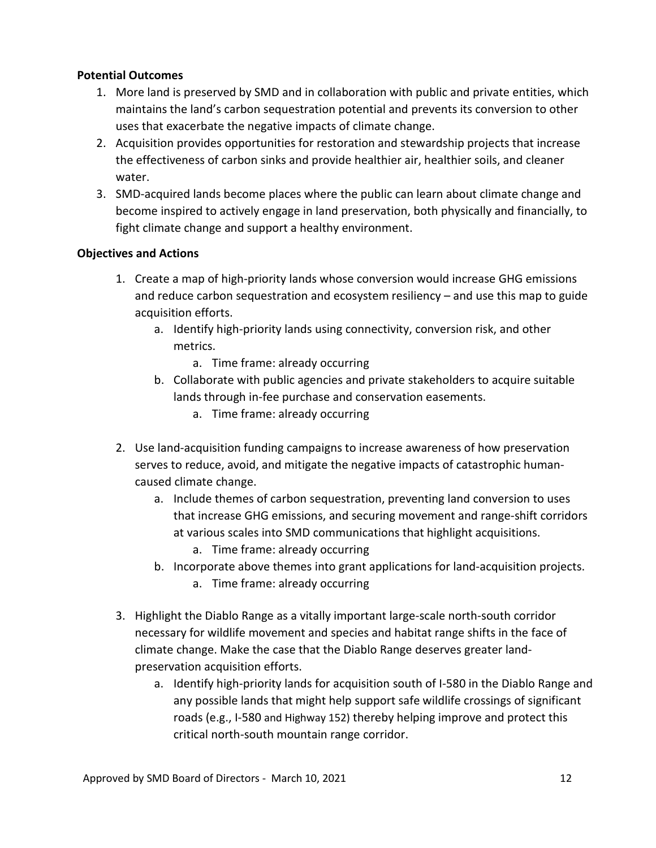## **Potential Outcomes**

- 1. More land is preserved by SMD and in collaboration with public and private entities, which maintains the land's carbon sequestration potential and prevents its conversion to other uses that exacerbate the negative impacts of climate change.
- 2. Acquisition provides opportunities for restoration and stewardship projects that increase the effectiveness of carbon sinks and provide healthier air, healthier soils, and cleaner water.
- 3. SMD-acquired lands become places where the public can learn about climate change and become inspired to actively engage in land preservation, both physically and financially, to fight climate change and support a healthy environment.

- 1. Create a map of high-priority lands whose conversion would increase GHG emissions and reduce carbon sequestration and ecosystem resiliency – and use this map to guide acquisition efforts.
	- a. Identify high-priority lands using connectivity, conversion risk, and other metrics.
		- a. Time frame: already occurring
	- b. Collaborate with public agencies and private stakeholders to acquire suitable lands through in-fee purchase and conservation easements.
		- a. Time frame: already occurring
- 2. Use land-acquisition funding campaigns to increase awareness of how preservation serves to reduce, avoid, and mitigate the negative impacts of catastrophic humancaused climate change.
	- a. Include themes of carbon sequestration, preventing land conversion to uses that increase GHG emissions, and securing movement and range-shift corridors at various scales into SMD communications that highlight acquisitions.
		- a. Time frame: already occurring
	- b. Incorporate above themes into grant applications for land-acquisition projects.
		- a. Time frame: already occurring
- 3. Highlight the Diablo Range as a vitally important large-scale north-south corridor necessary for wildlife movement and species and habitat range shifts in the face of climate change. Make the case that the Diablo Range deserves greater landpreservation acquisition efforts.
	- a. Identify high-priority lands for acquisition south of I-580 in the Diablo Range and any possible lands that might help support safe wildlife crossings of significant roads (e.g., I-580 and Highway 152) thereby helping improve and protect this critical north-south mountain range corridor.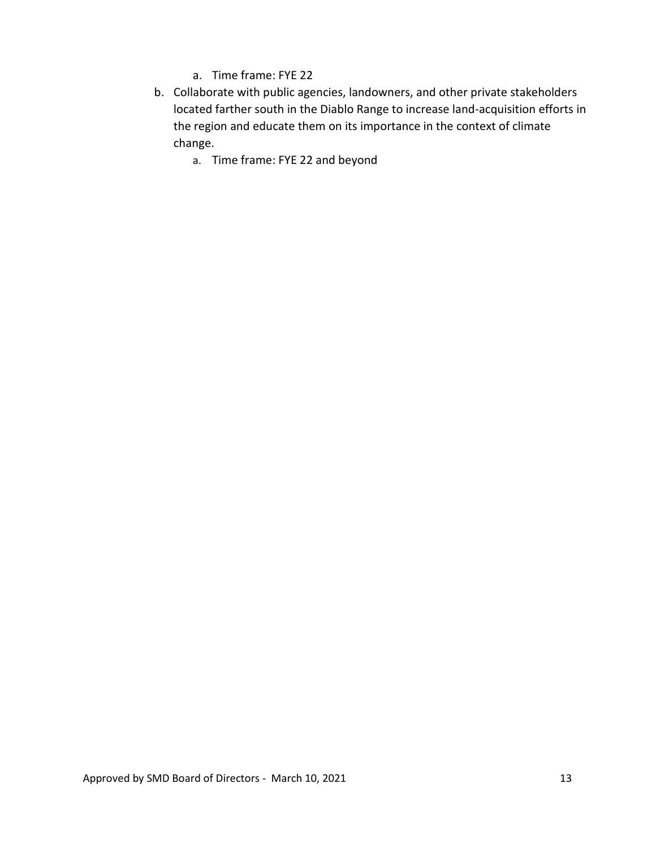- a. Time frame: FYE 22
- b. Collaborate with public agencies, landowners, and other private stakeholders located farther south in the Diablo Range to increase land-acquisition efforts in the region and educate them on its importance in the context of climate change.
	- a. Time frame: FYE 22 and beyond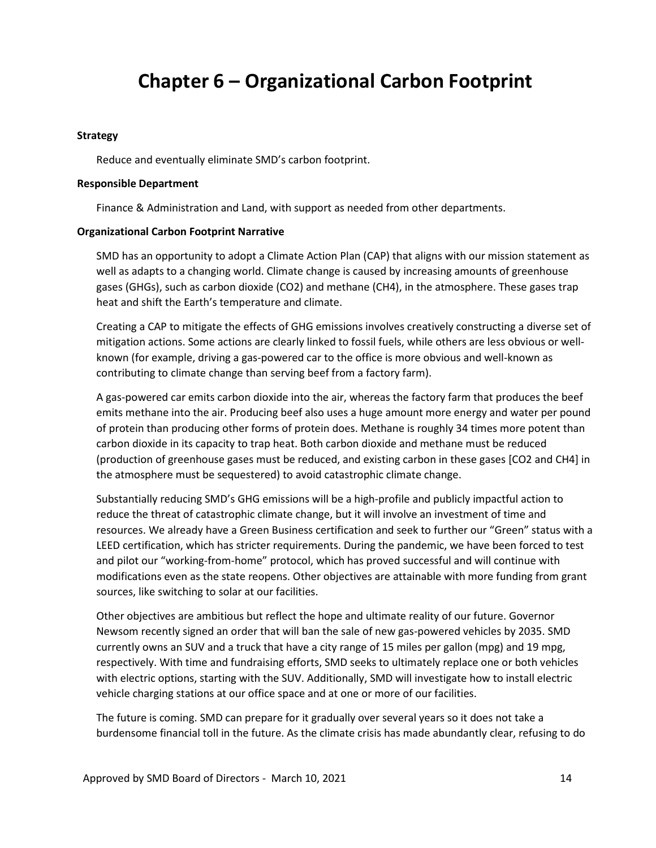# **Chapter 6 – Organizational Carbon Footprint**

#### **Strategy**

Reduce and eventually eliminate SMD's carbon footprint.

#### **Responsible Department**

Finance & Administration and Land, with support as needed from other departments.

#### **Organizational Carbon Footprint Narrative**

SMD has an opportunity to adopt a Climate Action Plan (CAP) that aligns with our mission statement as well as adapts to a changing world. Climate change is caused by increasing amounts of greenhouse gases (GHGs), such as carbon dioxide (CO2) and methane (CH4), in the atmosphere. These gases trap heat and shift the Earth's temperature and climate.

Creating a CAP to mitigate the effects of GHG emissions involves creatively constructing a diverse set of mitigation actions. Some actions are clearly linked to fossil fuels, while others are less obvious or wellknown (for example, driving a gas-powered car to the office is more obvious and well-known as contributing to climate change than serving beef from a factory farm).

A gas-powered car emits carbon dioxide into the air, whereas the factory farm that produces the beef emits methane into the air. Producing beef also uses a huge amount more energy and water per pound of protein than producing other forms of protein does. Methane is roughly 34 times more potent than carbon dioxide in its capacity to trap heat. Both carbon dioxide and methane must be reduced (production of greenhouse gases must be reduced, and existing carbon in these gases [CO2 and CH4] in the atmosphere must be sequestered) to avoid catastrophic climate change.

Substantially reducing SMD's GHG emissions will be a high-profile and publicly impactful action to reduce the threat of catastrophic climate change, but it will involve an investment of time and resources. We already have a Green Business certification and seek to further our "Green" status with a LEED certification, which has stricter requirements. During the pandemic, we have been forced to test and pilot our "working-from-home" protocol, which has proved successful and will continue with modifications even as the state reopens. Other objectives are attainable with more funding from grant sources, like switching to solar at our facilities.

Other objectives are ambitious but reflect the hope and ultimate reality of our future. Governor Newsom recently signed an order that will ban the sale of new gas-powered vehicles by 2035. SMD currently owns an SUV and a truck that have a city range of 15 miles per gallon (mpg) and 19 mpg, respectively. With time and fundraising efforts, SMD seeks to ultimately replace one or both vehicles with electric options, starting with the SUV. Additionally, SMD will investigate how to install electric vehicle charging stations at our office space and at one or more of our facilities.

The future is coming. SMD can prepare for it gradually over several years so it does not take a burdensome financial toll in the future. As the climate crisis has made abundantly clear, refusing to do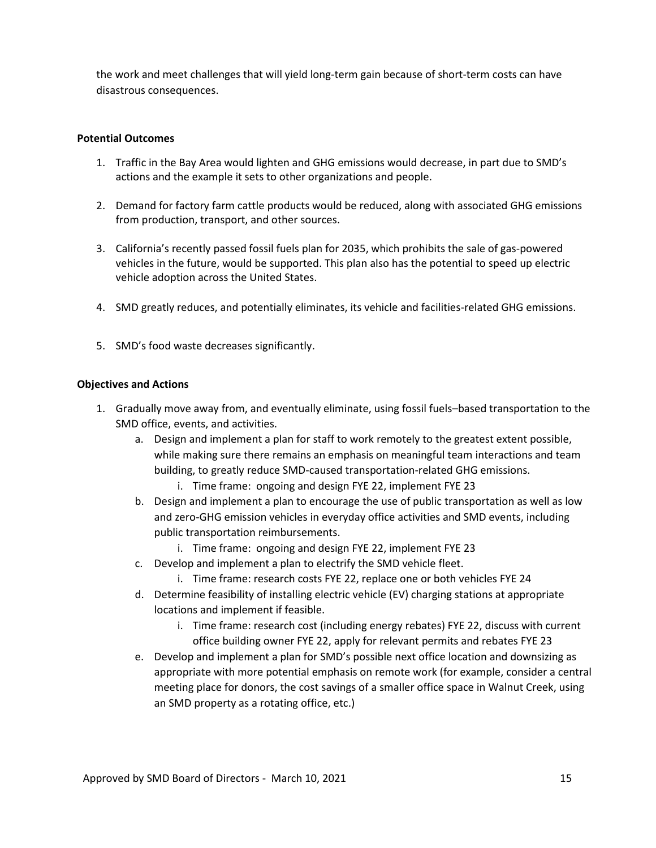the work and meet challenges that will yield long-term gain because of short-term costs can have disastrous consequences.

## **Potential Outcomes**

- 1. Traffic in the Bay Area would lighten and GHG emissions would decrease, in part due to SMD's actions and the example it sets to other organizations and people.
- 2. Demand for factory farm cattle products would be reduced, along with associated GHG emissions from production, transport, and other sources.
- 3. California's recently passed fossil fuels plan for 2035, which prohibits the sale of gas-powered vehicles in the future, would be supported. This plan also has the potential to speed up electric vehicle adoption across the United States.
- 4. SMD greatly reduces, and potentially eliminates, its vehicle and facilities-related GHG emissions.
- 5. SMD's food waste decreases significantly.

- 1. Gradually move away from, and eventually eliminate, using fossil fuels–based transportation to the SMD office, events, and activities.
	- a. Design and implement a plan for staff to work remotely to the greatest extent possible, while making sure there remains an emphasis on meaningful team interactions and team building, to greatly reduce SMD-caused transportation-related GHG emissions.
		- i. Time frame: ongoing and design FYE 22, implement FYE 23
	- b. Design and implement a plan to encourage the use of public transportation as well as low and zero-GHG emission vehicles in everyday office activities and SMD events, including public transportation reimbursements.
		- i. Time frame: ongoing and design FYE 22, implement FYE 23
	- c. Develop and implement a plan to electrify the SMD vehicle fleet.
		- i. Time frame: research costs FYE 22, replace one or both vehicles FYE 24
	- d. Determine feasibility of installing electric vehicle (EV) charging stations at appropriate locations and implement if feasible.
		- i. Time frame: research cost (including energy rebates) FYE 22, discuss with current office building owner FYE 22, apply for relevant permits and rebates FYE 23
	- e. Develop and implement a plan for SMD's possible next office location and downsizing as appropriate with more potential emphasis on remote work (for example, consider a central meeting place for donors, the cost savings of a smaller office space in Walnut Creek, using an SMD property as a rotating office, etc.)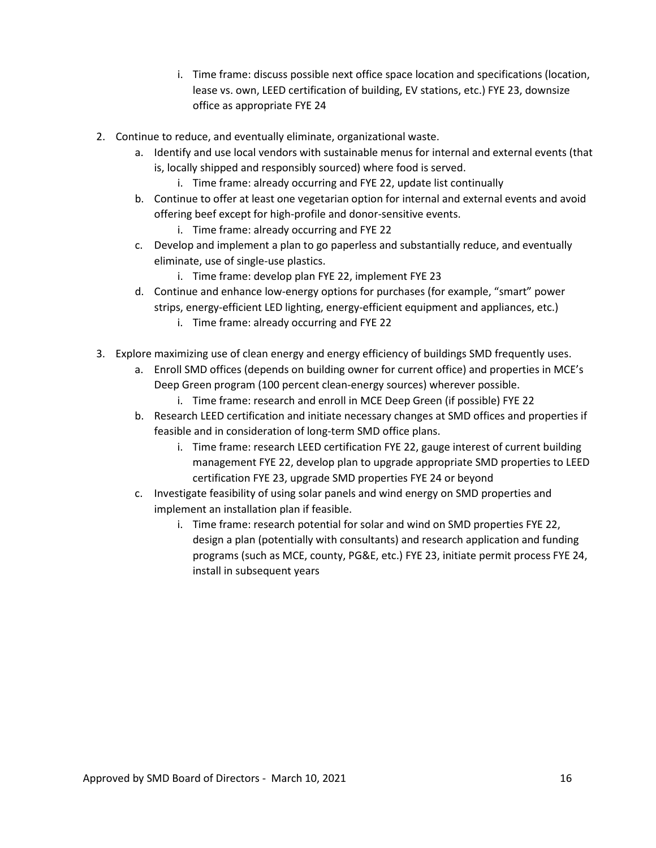- i. Time frame: discuss possible next office space location and specifications (location, lease vs. own, LEED certification of building, EV stations, etc.) FYE 23, downsize office as appropriate FYE 24
- 2. Continue to reduce, and eventually eliminate, organizational waste.
	- a. Identify and use local vendors with sustainable menus for internal and external events (that is, locally shipped and responsibly sourced) where food is served.
		- i. Time frame: already occurring and FYE 22, update list continually
	- b. Continue to offer at least one vegetarian option for internal and external events and avoid offering beef except for high-profile and donor-sensitive events.
		- i. Time frame: already occurring and FYE 22
	- c. Develop and implement a plan to go paperless and substantially reduce, and eventually eliminate, use of single-use plastics.
		- i. Time frame: develop plan FYE 22, implement FYE 23
	- d. Continue and enhance low-energy options for purchases (for example, "smart" power strips, energy-efficient LED lighting, energy-efficient equipment and appliances, etc.)
		- i. Time frame: already occurring and FYE 22
- 3. Explore maximizing use of clean energy and energy efficiency of buildings SMD frequently uses.
	- a. Enroll SMD offices (depends on building owner for current office) and properties in MCE's Deep Green program (100 percent clean-energy sources) wherever possible.
		- i. Time frame: research and enroll in MCE Deep Green (if possible) FYE 22
	- b. Research LEED certification and initiate necessary changes at SMD offices and properties if feasible and in consideration of long-term SMD office plans.
		- i. Time frame: research LEED certification FYE 22, gauge interest of current building management FYE 22, develop plan to upgrade appropriate SMD properties to LEED certification FYE 23, upgrade SMD properties FYE 24 or beyond
	- c. Investigate feasibility of using solar panels and wind energy on SMD properties and implement an installation plan if feasible.
		- i. Time frame: research potential for solar and wind on SMD properties FYE 22, design a plan (potentially with consultants) and research application and funding programs (such as MCE, county, PG&E, etc.) FYE 23, initiate permit process FYE 24, install in subsequent years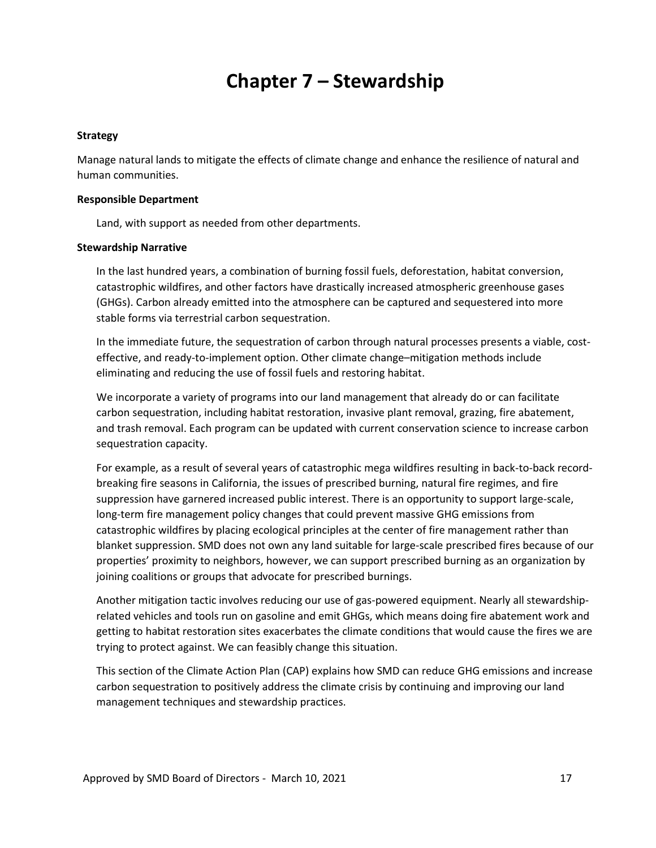# **Chapter 7 – Stewardship**

#### **Strategy**

Manage natural lands to mitigate the effects of climate change and enhance the resilience of natural and human communities.

#### **Responsible Department**

Land, with support as needed from other departments.

#### **Stewardship Narrative**

In the last hundred years, a combination of burning fossil fuels, deforestation, habitat conversion, catastrophic wildfires, and other factors have drastically increased atmospheric greenhouse gases (GHGs). Carbon already emitted into the atmosphere can be captured and sequestered into more stable forms via terrestrial carbon sequestration.

In the immediate future, the sequestration of carbon through natural processes presents a viable, costeffective, and ready-to-implement option. Other climate change–mitigation methods include eliminating and reducing the use of fossil fuels and restoring habitat.

We incorporate a variety of programs into our land management that already do or can facilitate carbon sequestration, including habitat restoration, invasive plant removal, grazing, fire abatement, and trash removal. Each program can be updated with current conservation science to increase carbon sequestration capacity.

For example, as a result of several years of catastrophic mega wildfires resulting in back-to-back recordbreaking fire seasons in California, the issues of prescribed burning, natural fire regimes, and fire suppression have garnered increased public interest. There is an opportunity to support large-scale, long-term fire management policy changes that could prevent massive GHG emissions from catastrophic wildfires by placing ecological principles at the center of fire management rather than blanket suppression. SMD does not own any land suitable for large-scale prescribed fires because of our properties' proximity to neighbors, however, we can support prescribed burning as an organization by joining coalitions or groups that advocate for prescribed burnings.

Another mitigation tactic involves reducing our use of gas-powered equipment. Nearly all stewardshiprelated vehicles and tools run on gasoline and emit GHGs, which means doing fire abatement work and getting to habitat restoration sites exacerbates the climate conditions that would cause the fires we are trying to protect against. We can feasibly change this situation.

This section of the Climate Action Plan (CAP) explains how SMD can reduce GHG emissions and increase carbon sequestration to positively address the climate crisis by continuing and improving our land management techniques and stewardship practices.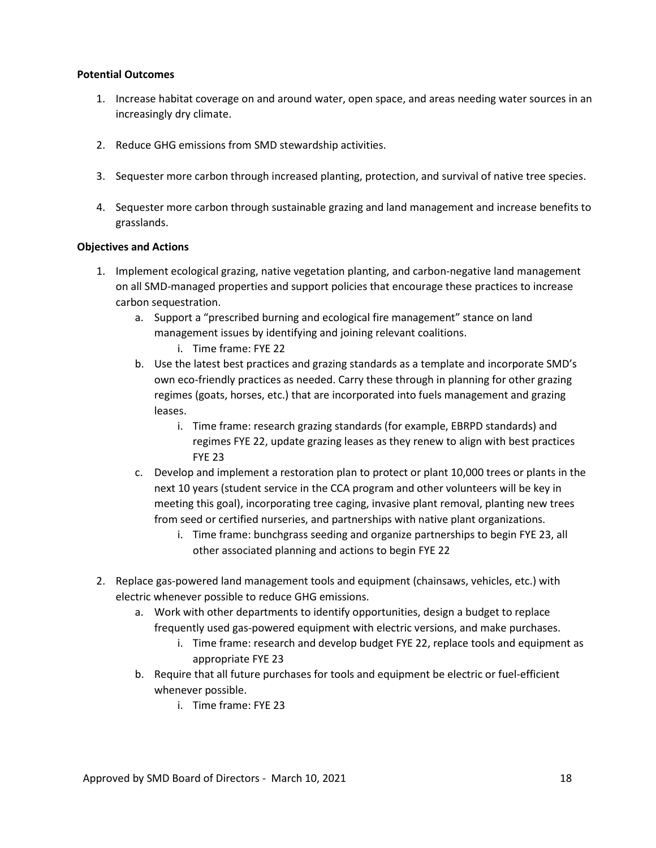#### **Potential Outcomes**

- 1. Increase habitat coverage on and around water, open space, and areas needing water sources in an increasingly dry climate.
- 2. Reduce GHG emissions from SMD stewardship activities.
- 3. Sequester more carbon through increased planting, protection, and survival of native tree species.
- 4. Sequester more carbon through sustainable grazing and land management and increase benefits to grasslands.

- 1. Implement ecological grazing, native vegetation planting, and carbon-negative land management on all SMD-managed properties and support policies that encourage these practices to increase carbon sequestration.
	- a. Support a "prescribed burning and ecological fire management" stance on land management issues by identifying and joining relevant coalitions.
		- i. Time frame: FYE 22
	- b. Use the latest best practices and grazing standards as a template and incorporate SMD's own eco-friendly practices as needed. Carry these through in planning for other grazing regimes (goats, horses, etc.) that are incorporated into fuels management and grazing leases.
		- i. Time frame: research grazing standards (for example, EBRPD standards) and regimes FYE 22, update grazing leases as they renew to align with best practices FYE 23
	- c. Develop and implement a restoration plan to protect or plant 10,000 trees or plants in the next 10 years (student service in the CCA program and other volunteers will be key in meeting this goal), incorporating tree caging, invasive plant removal, planting new trees from seed or certified nurseries, and partnerships with native plant organizations.
		- i. Time frame: bunchgrass seeding and organize partnerships to begin FYE 23, all other associated planning and actions to begin FYE 22
- 2. Replace gas-powered land management tools and equipment (chainsaws, vehicles, etc.) with electric whenever possible to reduce GHG emissions.
	- a. Work with other departments to identify opportunities, design a budget to replace frequently used gas-powered equipment with electric versions, and make purchases.
		- i. Time frame: research and develop budget FYE 22, replace tools and equipment as appropriate FYE 23
	- b. Require that all future purchases for tools and equipment be electric or fuel-efficient whenever possible.
		- i. Time frame: FYE 23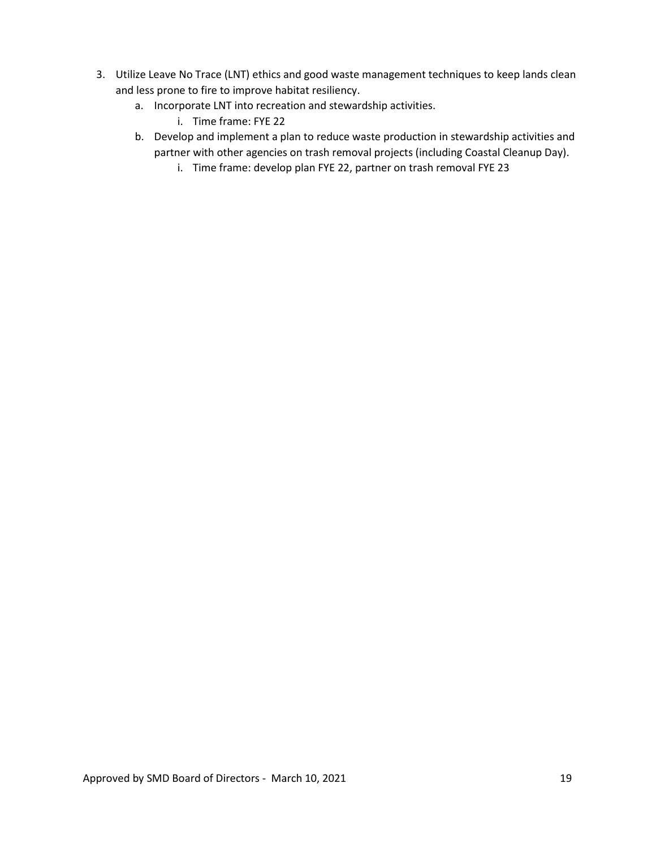- 3. Utilize Leave No Trace (LNT) ethics and good waste management techniques to keep lands clean and less prone to fire to improve habitat resiliency.
	- a. Incorporate LNT into recreation and stewardship activities.
		- i. Time frame: FYE 22
	- b. Develop and implement a plan to reduce waste production in stewardship activities and partner with other agencies on trash removal projects (including Coastal Cleanup Day).
		- i. Time frame: develop plan FYE 22, partner on trash removal FYE 23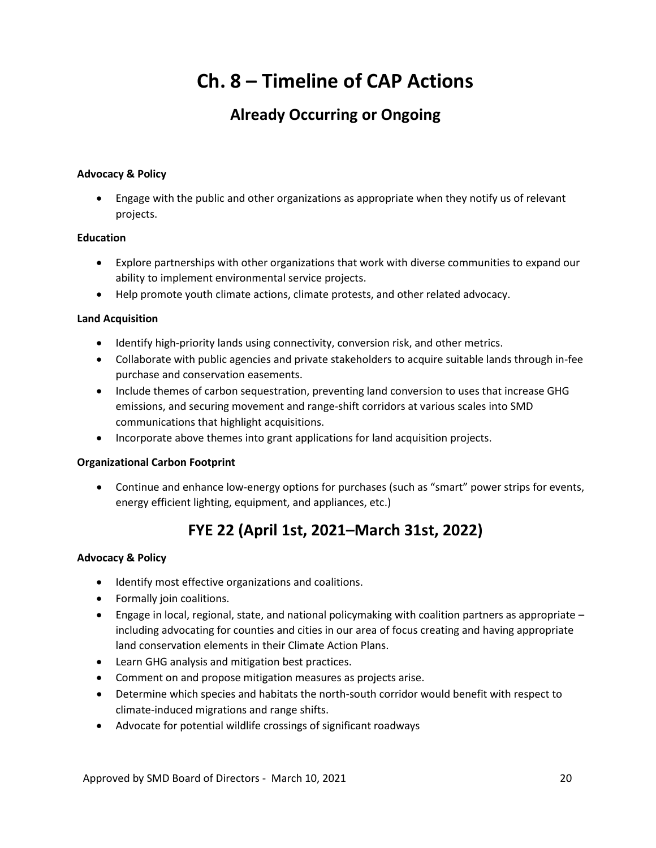# **Ch. 8 – Timeline of CAP Actions**

## **Already Occurring or Ongoing**

## **Advocacy & Policy**

• Engage with the public and other organizations as appropriate when they notify us of relevant projects.

### **Education**

- Explore partnerships with other organizations that work with diverse communities to expand our ability to implement environmental service projects.
- Help promote youth climate actions, climate protests, and other related advocacy.

### **Land Acquisition**

- Identify high-priority lands using connectivity, conversion risk, and other metrics.
- Collaborate with public agencies and private stakeholders to acquire suitable lands through in-fee purchase and conservation easements.
- Include themes of carbon sequestration, preventing land conversion to uses that increase GHG emissions, and securing movement and range-shift corridors at various scales into SMD communications that highlight acquisitions.
- Incorporate above themes into grant applications for land acquisition projects.

### **Organizational Carbon Footprint**

• Continue and enhance low-energy options for purchases (such as "smart" power strips for events, energy efficient lighting, equipment, and appliances, etc.)

## **FYE 22 (April 1st, 2021–March 31st, 2022)**

### **Advocacy & Policy**

- Identify most effective organizations and coalitions.
- Formally join coalitions.
- $\bullet$  Engage in local, regional, state, and national policymaking with coalition partners as appropriate including advocating for counties and cities in our area of focus creating and having appropriate land conservation elements in their Climate Action Plans.
- Learn GHG analysis and mitigation best practices.
- Comment on and propose mitigation measures as projects arise.
- Determine which species and habitats the north-south corridor would benefit with respect to climate-induced migrations and range shifts.
- Advocate for potential wildlife crossings of significant roadways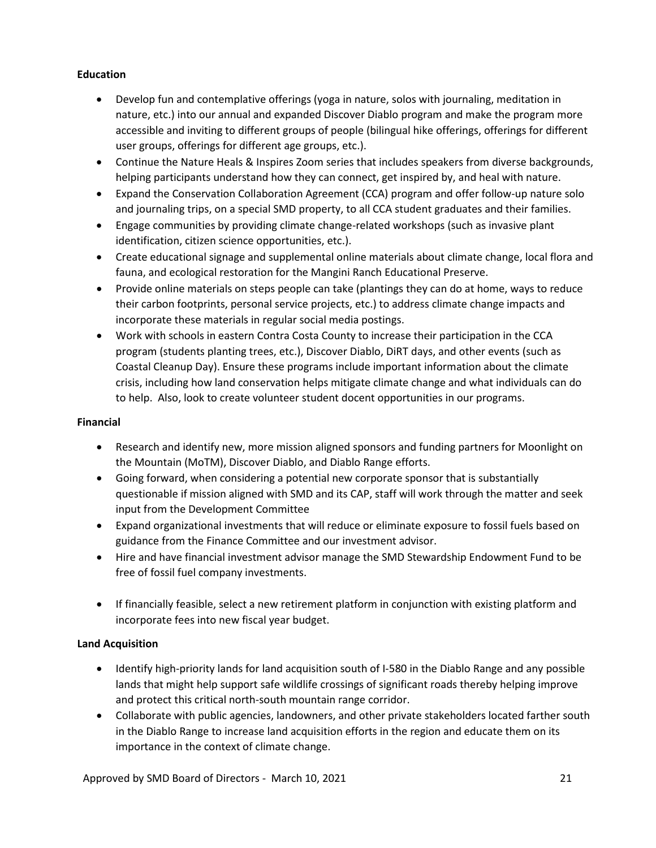## **Education**

- Develop fun and contemplative offerings (yoga in nature, solos with journaling, meditation in nature, etc.) into our annual and expanded Discover Diablo program and make the program more accessible and inviting to different groups of people (bilingual hike offerings, offerings for different user groups, offerings for different age groups, etc.).
- Continue the Nature Heals & Inspires Zoom series that includes speakers from diverse backgrounds, helping participants understand how they can connect, get inspired by, and heal with nature.
- Expand the Conservation Collaboration Agreement (CCA) program and offer follow-up nature solo and journaling trips, on a special SMD property, to all CCA student graduates and their families.
- Engage communities by providing climate change-related workshops (such as invasive plant identification, citizen science opportunities, etc.).
- Create educational signage and supplemental online materials about climate change, local flora and fauna, and ecological restoration for the Mangini Ranch Educational Preserve.
- Provide online materials on steps people can take (plantings they can do at home, ways to reduce their carbon footprints, personal service projects, etc.) to address climate change impacts and incorporate these materials in regular social media postings.
- Work with schools in eastern Contra Costa County to increase their participation in the CCA program (students planting trees, etc.), Discover Diablo, DiRT days, and other events (such as Coastal Cleanup Day). Ensure these programs include important information about the climate crisis, including how land conservation helps mitigate climate change and what individuals can do to help. Also, look to create volunteer student docent opportunities in our programs.

## **Financial**

- Research and identify new, more mission aligned sponsors and funding partners for Moonlight on the Mountain (MoTM), Discover Diablo, and Diablo Range efforts.
- Going forward, when considering a potential new corporate sponsor that is substantially questionable if mission aligned with SMD and its CAP, staff will work through the matter and seek input from the Development Committee
- Expand organizational investments that will reduce or eliminate exposure to fossil fuels based on guidance from the Finance Committee and our investment advisor.
- Hire and have financial investment advisor manage the SMD Stewardship Endowment Fund to be free of fossil fuel company investments.
- If financially feasible, select a new retirement platform in conjunction with existing platform and incorporate fees into new fiscal year budget.

## **Land Acquisition**

- Identify high-priority lands for land acquisition south of I-580 in the Diablo Range and any possible lands that might help support safe wildlife crossings of significant roads thereby helping improve and protect this critical north-south mountain range corridor.
- Collaborate with public agencies, landowners, and other private stakeholders located farther south in the Diablo Range to increase land acquisition efforts in the region and educate them on its importance in the context of climate change.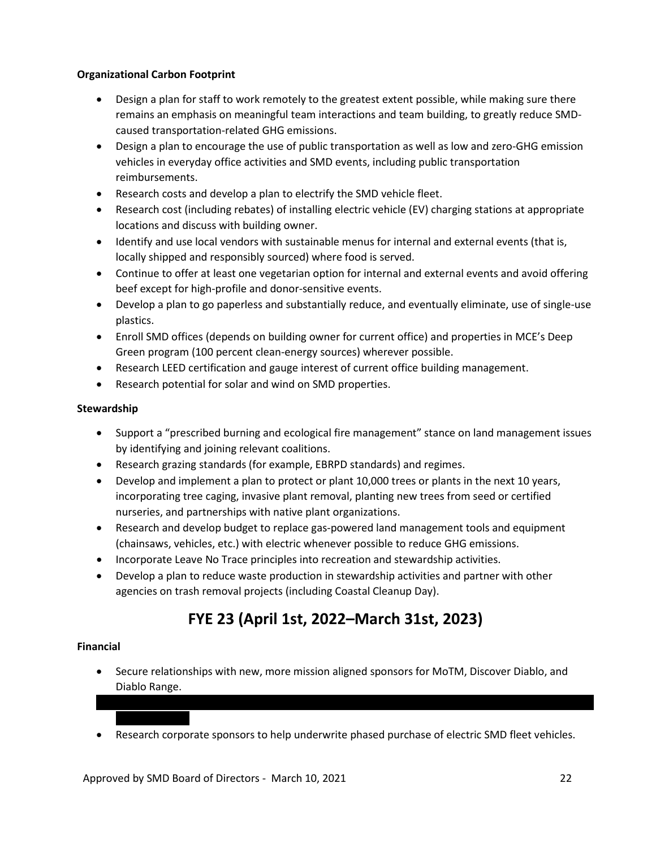## **Organizational Carbon Footprint**

- Design a plan for staff to work remotely to the greatest extent possible, while making sure there remains an emphasis on meaningful team interactions and team building, to greatly reduce SMDcaused transportation-related GHG emissions.
- Design a plan to encourage the use of public transportation as well as low and zero-GHG emission vehicles in everyday office activities and SMD events, including public transportation reimbursements.
- Research costs and develop a plan to electrify the SMD vehicle fleet.
- Research cost (including rebates) of installing electric vehicle (EV) charging stations at appropriate locations and discuss with building owner.
- Identify and use local vendors with sustainable menus for internal and external events (that is, locally shipped and responsibly sourced) where food is served.
- Continue to offer at least one vegetarian option for internal and external events and avoid offering beef except for high-profile and donor-sensitive events.
- Develop a plan to go paperless and substantially reduce, and eventually eliminate, use of single-use plastics.
- Enroll SMD offices (depends on building owner for current office) and properties in MCE's Deep Green program (100 percent clean-energy sources) wherever possible.
- Research LEED certification and gauge interest of current office building management.
- Research potential for solar and wind on SMD properties.

## **Stewardship**

- Support a "prescribed burning and ecological fire management" stance on land management issues by identifying and joining relevant coalitions.
- Research grazing standards (for example, EBRPD standards) and regimes.
- Develop and implement a plan to protect or plant 10,000 trees or plants in the next 10 years, incorporating tree caging, invasive plant removal, planting new trees from seed or certified nurseries, and partnerships with native plant organizations.
- Research and develop budget to replace gas-powered land management tools and equipment (chainsaws, vehicles, etc.) with electric whenever possible to reduce GHG emissions.
- Incorporate Leave No Trace principles into recreation and stewardship activities.
- Develop a plan to reduce waste production in stewardship activities and partner with other agencies on trash removal projects (including Coastal Cleanup Day).

## **FYE 23 (April 1st, 2022–March 31st, 2023)**

### **Financial**

- Secure relationships with new, more mission aligned sponsors for MoTM, Discover Diablo, and Diablo Range.
- Research corporate sponsors to help underwrite phased purchase of electric SMD fleet vehicles.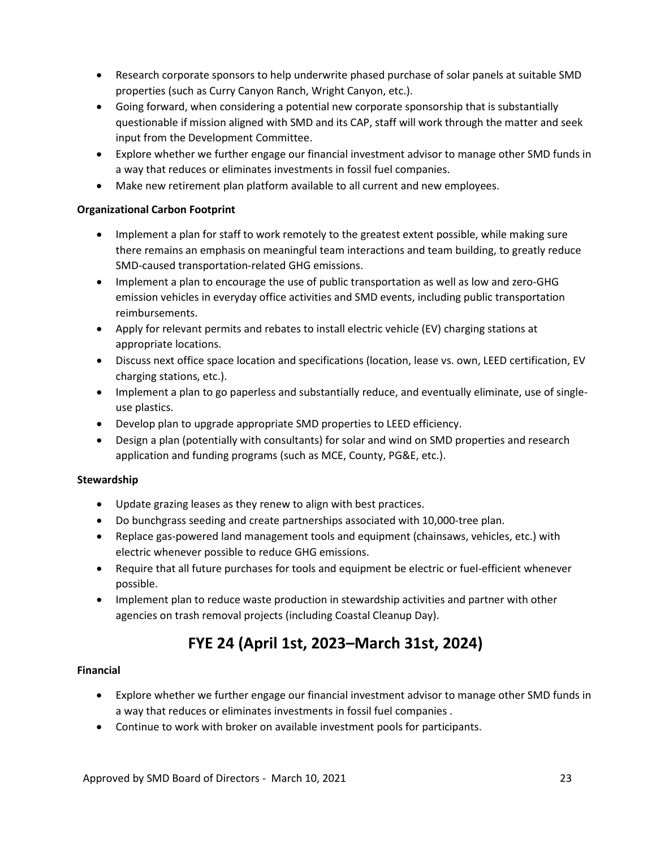- Research corporate sponsors to help underwrite phased purchase of solar panels at suitable SMD properties (such as Curry Canyon Ranch, Wright Canyon, etc.).
- Going forward, when considering a potential new corporate sponsorship that is substantially questionable if mission aligned with SMD and its CAP, staff will work through the matter and seek input from the Development Committee.
- Explore whether we further engage our financial investment advisor to manage other SMD funds in a way that reduces or eliminates investments in fossil fuel companies.
- Make new retirement plan platform available to all current and new employees.

## **Organizational Carbon Footprint**

- Implement a plan for staff to work remotely to the greatest extent possible, while making sure there remains an emphasis on meaningful team interactions and team building, to greatly reduce SMD-caused transportation-related GHG emissions.
- Implement a plan to encourage the use of public transportation as well as low and zero-GHG emission vehicles in everyday office activities and SMD events, including public transportation reimbursements.
- Apply for relevant permits and rebates to install electric vehicle (EV) charging stations at appropriate locations.
- Discuss next office space location and specifications (location, lease vs. own, LEED certification, EV charging stations, etc.).
- Implement a plan to go paperless and substantially reduce, and eventually eliminate, use of singleuse plastics.
- Develop plan to upgrade appropriate SMD properties to LEED efficiency.
- Design a plan (potentially with consultants) for solar and wind on SMD properties and research application and funding programs (such as MCE, County, PG&E, etc.).

### **Stewardship**

- Update grazing leases as they renew to align with best practices.
- Do bunchgrass seeding and create partnerships associated with 10,000-tree plan.
- Replace gas-powered land management tools and equipment (chainsaws, vehicles, etc.) with electric whenever possible to reduce GHG emissions.
- Require that all future purchases for tools and equipment be electric or fuel-efficient whenever possible.
- Implement plan to reduce waste production in stewardship activities and partner with other agencies on trash removal projects (including Coastal Cleanup Day).

## **FYE 24 (April 1st, 2023–March 31st, 2024)**

### **Financial**

- Explore whether we further engage our financial investment advisor to manage other SMD funds in a way that reduces or eliminates investments in fossil fuel companies .
- Continue to work with broker on available investment pools for participants.